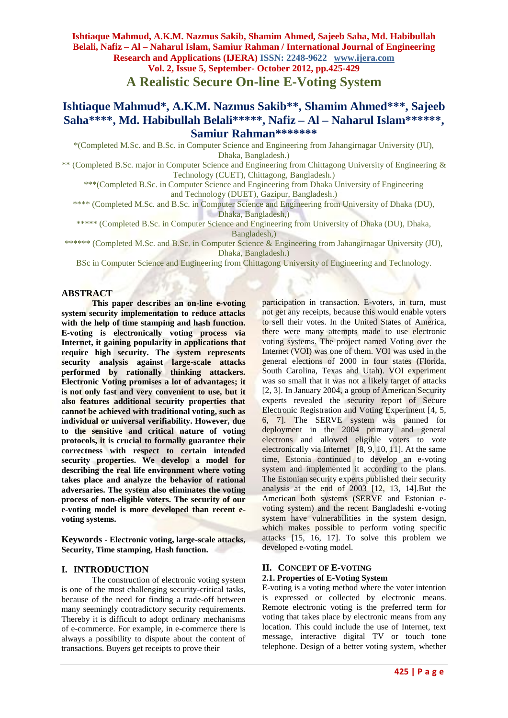**Ishtiaque Mahmud, A.K.M. Nazmus Sakib, Shamim Ahmed, Sajeeb Saha, Md. Habibullah Belali, Nafiz – Al – Naharul Islam, Samiur Rahman / International Journal of Engineering Research and Applications (IJERA) ISSN: 2248-9622 www.ijera.com Vol. 2, Issue 5, September- October 2012, pp.425-429**

**A Realistic Secure On-line E-Voting System**

# **Ishtiaque Mahmud\*, A.K.M. Nazmus Sakib\*\*, Shamim Ahmed\*\*\*, Sajeeb Saha\*\*\*\*, Md. Habibullah Belali\*\*\*\*\* , Nafiz – Al – Naharul Islam\*\*\*\*\*\* , Samiur Rahman\*\*\*\*\*\*\***

\*(Completed M.Sc. and B.Sc. in Computer Science and Engineering from Jahangirnagar University (JU), Dhaka, Bangladesh.)

\*\* (Completed B.Sc. major in Computer Science and Engineering from Chittagong University of Engineering & Technology (CUET), Chittagong, Bangladesh.)

\*\*\*(Completed B.Sc. in Computer Science and Engineering from Dhaka University of Engineering and Technology (DUET), Gazipur, Bangladesh.)

\*\*\*\* (Completed M.Sc. and B.Sc. in Computer Science and Engineering from University of Dhaka (DU), Dhaka, Bangladesh,)

\*\*\*\*\* (Completed B.Sc. in Computer Science and Engineering from University of Dhaka (DU), Dhaka,

Bangladesh,)

\*\*\*\*\*\* (Completed M.Sc. and B.Sc. in Computer Science & Engineering from Jahangirnagar University (JU), Dhaka, Bangladesh.)

BSc in Computer Science and Engineering from Chittagong University of Engineering and Technology.

## **ABSTRACT**

**This paper describes an on-line e-voting system security implementation to reduce attacks with the help of time stamping and hash function. E-voting is electronically voting process via Internet, it gaining popularity in applications that require high security. The system represents security analysis against large-scale attacks performed by rationally thinking attackers. Electronic Voting promises a lot of advantages; it is not only fast and very convenient to use, but it also features additional security properties that cannot be achieved with traditional voting, such as individual or universal verifiability. However, due to the sensitive and critical nature of voting protocols, it is crucial to formally guarantee their correctness with respect to certain intended security properties. We develop a model for describing the real life environment where voting takes place and analyze the behavior of rational adversaries. The system also eliminates the voting process of non-eligible voters. The security of our e-voting model is more developed than recent evoting systems.**

**Keywords - Electronic voting, large-scale attacks, Security, Time stamping, Hash function.**

## **I. INTRODUCTION**

The construction of electronic voting system is one of the most challenging security-critical tasks, because of the need for finding a trade-off between many seemingly contradictory security requirements. Thereby it is difficult to adopt ordinary mechanisms of e-commerce. For example, in e-commerce there is always a possibility to dispute about the content of transactions. Buyers get receipts to prove their

participation in transaction. E-voters, in turn, must not get any receipts, because this would enable voters to sell their votes. In the United States of America, there were many attempts made to use electronic voting systems. The project named Voting over the Internet (VOI) was one of them. VOI was used in the general elections of 2000 in four states (Florida, South Carolina, Texas and Utah). VOI experiment was so small that it was not a likely target of attacks [2, 3]. In January 2004, a group of American Security experts revealed the security report of Secure Electronic Registration and Voting Experiment [4, 5, 6, 7]. The SERVE system was panned for deployment in the 2004 primary and general electrons and allowed eligible voters to vote electronically via Internet [8, 9, 10, 11]. At the same time, Estonia continued to develop an e-voting system and implemented it according to the plans. The Estonian security experts published their security analysis at the end of 2003 [12, 13, 14].But the American both systems (SERVE and Estonian evoting system) and the recent Bangladeshi e-voting system have vulnerabilities in the system design, which makes possible to perform voting specific attacks [15, 16, 17]. To solve this problem we developed e-voting model.

# **II. CONCEPT OF E-VOTING**

# **2.1. Properties of E-Voting System**

E-voting is a voting method where the voter intention is expressed or collected by electronic means. Remote electronic voting is the preferred term for voting that takes place by electronic means from any location. This could include the use of Internet, text message, interactive digital TV or touch tone telephone. Design of a better voting system, whether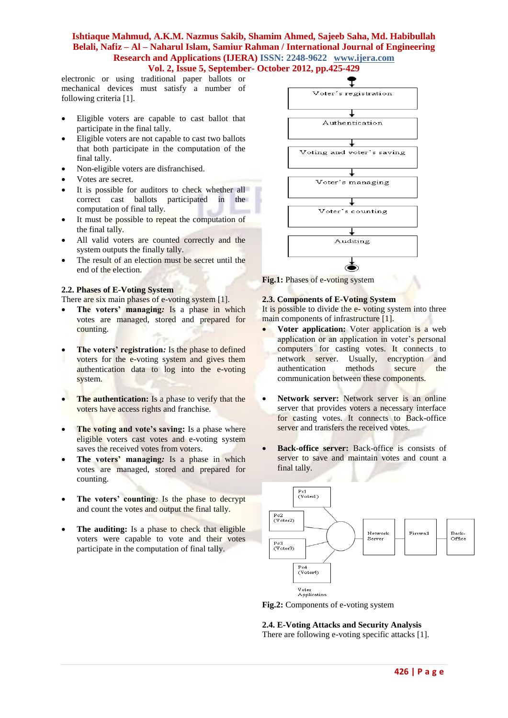## **Ishtiaque Mahmud, A.K.M. Nazmus Sakib, Shamim Ahmed, Sajeeb Saha, Md. Habibullah Belali, Nafiz – Al – Naharul Islam, Samiur Rahman / International Journal of Engineering Research and Applications (IJERA) ISSN: 2248-9622 www.ijera.com Vol. 2, Issue 5, September- October 2012, pp.425-429**

electronic or using traditional paper ballots or mechanical devices must satisfy a number of following criteria [1].

- Eligible voters are capable to cast ballot that participate in the final tally.
- Eligible voters are not capable to cast two ballots that both participate in the computation of the final tally.
- Non-eligible voters are disfranchised.
- Votes are secret.
- It is possible for auditors to check whether all correct cast ballots participated in the computation of final tally.
- It must be possible to repeat the computation of the final tally.
- All valid voters are counted correctly and the system outputs the finally tally.
- The result of an election must be secret until the end of the election.

#### **2.2. Phases of E-Voting System**

There are six main phases of e-voting system [1].

- **The voters' managing***:* Is a phase in which votes are managed, stored and prepared for counting.
- **The voters' registration***:* Is the phase to defined voters for the e-voting system and gives them authentication data to log into the e-voting system.
- **The authentication:** Is a phase to verify that the voters have access rights and franchise.
- **The voting and vote's saving:** Is a phase where eligible voters cast votes and e-voting system saves the received votes from voters.
- **The voters' managing***:* Is a phase in which votes are managed, stored and prepared for counting.
- **The voters' counting***:* Is the phase to decrypt and count the votes and output the final tally.
- **The auditing:** Is a phase to check that eligible voters were capable to vote and their votes participate in the computation of final tally.



**Fig.1:** Phases of e-voting system

## **2.3. Components of E-Voting System**

It is possible to divide the e-voting system into three main components of infrastructure [1].

- **Voter application:** Voter application is a web application or an application in voter's personal computers for casting votes. It connects to network server. Usually, encryption and authentication methods secure the communication between these components.
- **Network server:** Network server is an online server that provides voters a necessary interface for casting votes. It connects to Back-office server and transfers the received votes.
- **Back-office server:** Back-office is consists of server to save and maintain votes and count a final tally.



**Fig.2:** Components of e-voting system

# **2.4. E-Voting Attacks and Security Analysis**

There are following e-voting specific attacks [1].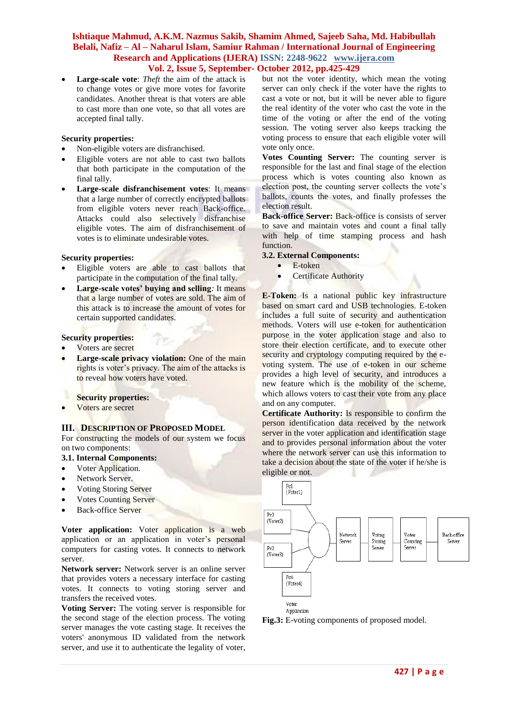# **Ishtiaque Mahmud, A.K.M. Nazmus Sakib, Shamim Ahmed, Sajeeb Saha, Md. Habibullah Belali, Nafiz – Al – Naharul Islam, Samiur Rahman / International Journal of Engineering Research and Applications (IJERA) ISSN: 2248-9622 www.ijera.com**

# **Vol. 2, Issue 5, September- October 2012, pp.425-429**

 **Large-scale vote**: *Theft* the aim of the attack is to change votes or give more votes for favorite candidates. Another threat is that voters are able to cast more than one vote, so that all votes are accepted final tally.

#### **Security properties:**

- Non-eligible voters are disfranchised.
- Eligible voters are not able to cast two ballots that both participate in the computation of the final tally.
- **Large-scale disfranchisement votes**: It means that a large number of correctly encrypted ballots from eligible voters never reach Back-office. Attacks could also selectively disfranchise eligible votes. The aim of disfranchisement of votes is to eliminate undesirable votes.

#### **Security properties:**

- Eligible voters are able to cast ballots that participate in the computation of the final tally.
- **Large-scale votes' buying and selling***:* It means that a large number of votes are sold. The aim of this attack is to increase the amount of votes for certain supported candidates.

#### **Security properties:**

- Voters are secret
- **Large-scale privacy violation:** One of the main rights is voter's privacy. The aim of the attacks is to reveal how voters have voted.

#### **Security properties:**

Voters are secret

#### **III. DESCRIPTION OF PROPOSED MODEL**

For constructing the models of our system we focus on two components:

## **3.1. Internal Components:**

- Voter Application.
- Network Server.
- Voting Storing Server
- Votes Counting Server
- Back-office Server

**Voter application:** Voter application is a web application or an application in voter's personal computers for casting votes. It connects to network server.

**Network server:** Network server is an online server that provides voters a necessary interface for casting votes. It connects to voting storing server and transfers the received votes.

**Voting Server:** The voting server is responsible for the second stage of the election process. The voting server manages the vote casting stage. It receives the voters' anonymous ID validated from the network server, and use it to authenticate the legality of voter, but not the voter identity, which mean the voting server can only check if the voter have the rights to cast a vote or not, but it will be never able to figure the real identity of the voter who cast the vote in the time of the voting or after the end of the voting session. The voting server also keeps tracking the voting process to ensure that each eligible voter will vote only once.

**Votes Counting Server:** The counting server is responsible for the last and final stage of the election process which is votes counting also known as election post, the counting server collects the vote's ballots, counts the votes, and finally professes the election result.

**Back-office Server:** Back-office is consists of server to save and maintain votes and count a final tally with help of time stamping process and hash function.

## **3.2. External Components:**

- E-token
- Certificate Authority

**E-Token:** Is a national public key infrastructure based on smart card and USB technologies. E-token includes a full suite of security and authentication methods. Voters will use e-token for authentication purpose in the voter application stage and also to store their election certificate, and to execute other security and cryptology computing required by the evoting system. The use of e-token in our scheme provides a high level of security, and introduces a new feature which is the mobility of the scheme, which allows voters to cast their vote from any place and on any computer.

**Certificate Authority:** Is responsible to confirm the person identification data received by the network server in the voter application and identification stage and to provides personal information about the voter where the network server can use this information to take a decision about the state of the voter if he/she is eligible or not.



**Fig.3:** E-voting components of proposed model.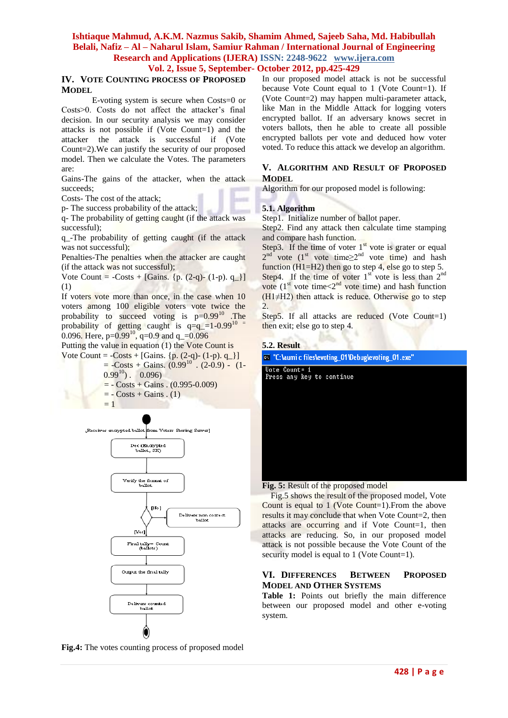# **Ishtiaque Mahmud, A.K.M. Nazmus Sakib, Shamim Ahmed, Sajeeb Saha, Md. Habibullah Belali, Nafiz – Al – Naharul Islam, Samiur Rahman / International Journal of Engineering Research and Applications (IJERA) ISSN: 2248-9622 www.ijera.com**

# **Vol. 2, Issue 5, September- October 2012, pp.425-429**

# **IV. VOTE COUNTING PROCESS OF PROPOSED MODEL**

E-voting system is secure when Costs=0 or Costs>0. Costs do not affect the attacker's final decision. In our security analysis we may consider attacks is not possible if (Vote Count=1) and the attacker the attack is successful if (Vote Count=2).We can justify the security of our proposed model. Then we calculate the Votes. The parameters are:

Gains-The gains of the attacker, when the attack succeeds;

Costs- The cost of the attack;

p- The success probability of the attack;

q- The probability of getting caught (if the attack was successful);

q\_-The probability of getting caught (if the attack was not successful);

Penalties-The penalties when the attacker are caught (if the attack was not successful);

Vote Count =  $-Costs + [Gains. \{p. (2-q)-(1-p). q_1\}]$ (1)

If voters vote more than once, in the case when 10 voters among 100 eligible voters vote twice the probability to succeed voting is  $p=0.99^{10}$  The probability of getting caught is  $q=q_1=1-0.99^{10}$ 0.096. Here,  $p=0.99^{10}$ ,  $q=0.9$  and  $q=0.096$ 

Putting the value in equation (1) the Vote Count is

Vote Count =  $-Costs + [Gains. \{p. (2-q)-(1-p). q_]\}$ 

$$
= -\text{Costs} + \text{Gains.} (0.99^{10} \cdot (2-0.9) - (1-0.99^{10}) \cdot (0.096)
$$

$$
= - \text{Costs} + \text{Gains} \cdot (0.995 - 0.009)
$$

 $= -$  Costs + Gains . (1)

 $= 1$ 



**Fig.4:** The votes counting process of proposed model

In our proposed model attack is not be successful because Vote Count equal to 1 (Vote Count=1). If (Vote Count=2) may happen multi-parameter attack, like Man in the Middle Attack for logging voters encrypted ballot. If an adversary knows secret in voters ballots, then he able to create all possible encrypted ballots per vote and deduced how voter voted. To reduce this attack we develop an algorithm.

## **V. ALGORITHM AND RESULT OF PROPOSED MODEL**

Algorithm for our proposed model is following:

## **5.1. Algorithm**

Step1. Initialize number of ballot paper.

Step2. Find any attack then calculate time stamping and compare hash function.

Step3. If the time of voter  $1<sup>st</sup>$  vote is grater or equal  $2^{nd}$  vote (1<sup>st</sup> vote time $\geq 2^{nd}$  vote time) and hash function (H1=H2) then go to step 4, else go to step 5. Step4. If the time of voter  $1<sup>st</sup>$  vote is less than  $2<sup>nd</sup>$ vote  $(1<sup>st</sup>$  vote time $< 2<sup>nd</sup>$  vote time) and hash function  $(H1 \neq H2)$  then attack is reduce. Otherwise go to step 2.

Step5. If all attacks are reduced (Vote Count=1) then exit; else go to step 4*.*

#### **5.2. Result**

| <sup>ox</sup> "C: \aumi c files \evoting_01 \Debug\evoting_01.exe" |  |  |  |  |  |  |
|--------------------------------------------------------------------|--|--|--|--|--|--|
| Vote Count= 1<br>Press any key to continue                         |  |  |  |  |  |  |
|                                                                    |  |  |  |  |  |  |
|                                                                    |  |  |  |  |  |  |
|                                                                    |  |  |  |  |  |  |
|                                                                    |  |  |  |  |  |  |
|                                                                    |  |  |  |  |  |  |

**Fig. 5:** Result of the proposed model

 Fig.5 shows the result of the proposed model, Vote Count is equal to 1 (Vote Count=1).From the above results it may conclude that when Vote Count=2, then attacks are occurring and if Vote Count=1, then attacks are reducing. So, in our proposed model attack is not possible because the Vote Count of the security model is equal to 1 (Vote Count=1).

## **VI. DIFFERENCES BETWEEN PROPOSED MODEL AND OTHER SYSTEMS**

**Table 1:** Points out briefly the main difference between our proposed model and other e-voting system.